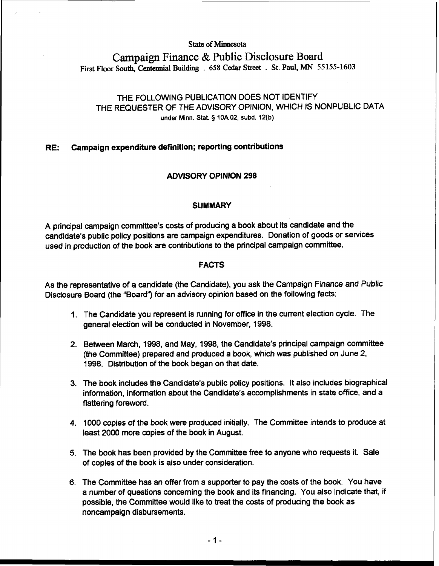## **State of Minnesota**

# **Campaign Finance** & **Public Disclosure Board First Floor South, Centennial Buildmg** . **658 Cedar Street** . **St. Paul, MN 55 155-1603**

## THE FOLLOWING PUBLICATION DOES NOT IDENTIFY THE REQUESTER OF THE ADVISORY OPINION, WHICH IS NONPUBLIC DATA **under Minn. Stat. 9 10A.02, subd. 12(b)**

## **RE: Campaign expenditure definition; reporting contributions**

## **ADVISORY OPINION 298**

## **SUMMARY**

A principal campaign committee's costs of producing a book about its candidate and the candidate's public policy positions are campaign expenditures. Donation of goods or sewices used in production of the book are contributions to the principal campaign committee.

## **FACTS**

As the representative of a candidate (the Candidate), you ask the Campaign Finance and Public Disclosure Board (the "Board") for an advisory opinion based on the following facts:

- 1. The Candidate you represent is running for office in the current election cycle. The general election will be conducted in November, 1998.
- 2. Between March, 1998, and May, 1998, the Candidate's principal campaign committee (the Committee) prepared and produced a book, which was published on June 2, 1998. Distribution of the book began on that date.
- 3. The book includes the Candidate's public policy positions. It also includes biographical information, information about the Candidate's accomplishments in state office, and a flattering foreword.
- 4. 1000 copies of the book were produced initially. The Committee intends to produce at least 2000 more copies of the book in August.
- 5. The book has been provided by the Committee free to anyone who requests it. Sale of copies of the book is also under consideration.
- 6. The Committee has an offer from a supporter to pay the costs of the book. You have a number of questions concerning the book and its financing. You also indicate that, if possible, the Committee would like to treat the costs of producing the book as noncampaign disbursements.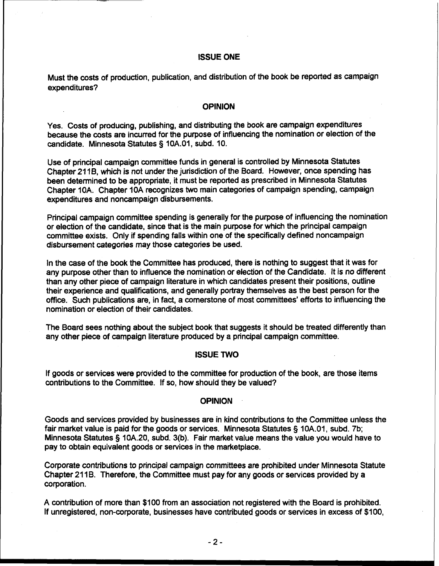#### ISSUE ONE

Must the costs of production, publication, and distribution of the book be reported as campaign expenditures?

#### **OPINION**

Yes. Costs of producing, publishing, and distributing the book are campaign expenditures because the costs are incurred for the purpose of influencing the nomination or election of the candidate. Minnesota Statutes § 10A.01, subd. 10.

Use of principal campaign committee funds in general is controlled by Minnesota Statutes Chapter 21 **16,** which is not under the jurisdiction of the Board. However, once spending has been determined to be appropriate, it must be reported as prescribed in Minnesota Statutes Chapter 10A. Chapter 10A recognizes two main categories of campaign spending, campaign expenditures and noncampaign disbursements.

Principal campaign committee spending is generally for the purpose of influencing the nomination or election of the candidate, since that is the main purpose for which the principal campaign committee exists. Only if spending falls within one of the specifically defined noncampaign disbursement categories may those categories be used.

In the case of the book the Committee has produced, there is nothing to suggest that it was for any purpose other than to influence the nomination or election of the Candidate. It is no different than any other piece of campaign literature in which candidates present their positions, outline their experience and qualifications, and generally portray themselves as the best person for the office. Such publications are, in fact, a cornerstone of most committees' efforts to influencing the nomination or election of their candidates.

The Board sees nothing about the subject book that suggests it should be treated differently than any other piece of campaign literature produced by a principal campaign committee.

#### ISSUE TWO

If goods or services were provided to the committee for production of the book, are those items contributions to the Committee. If so, how should they be valued?

#### **OPINION**

Goods and services provided by businesses are in kind contributions to the Committee unless the fair market value is paid for the goods or services. Minnesota Statutes § 10A.01, subd. 7b; Minnesota Statutes § 10A.20, subd. 3(b). Fair market value means the value you would have to pay to obtain equivalent goods or services in the marketplace.

Corporate contributions to principal campaign committees are prohibited under Minnesota Statute Chapter 211B. Therefore, the Committee must pay for any goods or services provided by a corporation.

A contribution of more than \$100 from an association not registered with the Board is prohibited. If unregistered, non-corporate, businesses have contributed goods or services in excess of \$100,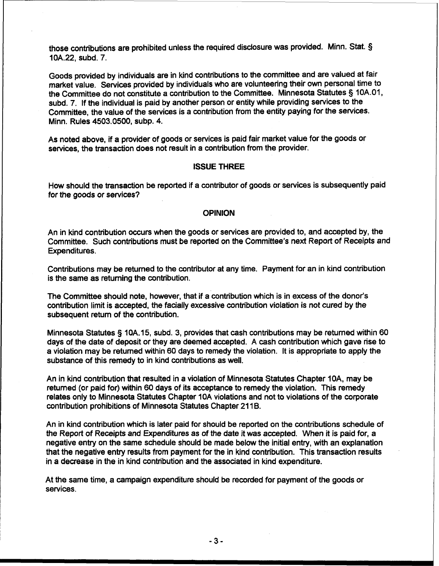those contributions are prohibited unless the required disclosure was provided. Minn. Stat. **3**  10A.22, subd. 7.

Goods provided by individuals are in kind contributions to the committee and are valued at fair market value. Services provided by individuals who are volunteering their own personal time to the Committee do not constitute a contribution to the Committee. Minnesota Statutes § 10A.O1, subd. 7. If the individual is paid by another person or entity while providing services to the Committee, the value of the services is a contribution from the entity paying for the services. Minn. Rules 4503.0500, subp. 4.

As noted above, if a provider of goods or services is paid fair market value for the goods or services, the transaction does not result in a contribution from the provider.

#### **ISSUE THREE**

How should the transaction be reported if a contributor of goods or services is subsequently paid for the goods or services?

#### **OPINION**

An in kind contribution occurs when the goods or services are provided to, and accepted by, the Committee. Such contributions must be reported on the Committee's next Report of Receipts and Expenditures.

Contributions may be returned to the contributor at any time. Payment for an in kind contribution is the same as returning the contribution.

The Committee should note, however, that if a contribution which is in excess of the donor's contribution limit is accepted, the facially excessive contribution violation is not cured by the subsequent return of the contribution.

Minnesota Statutes 5 10A.15, subd. 3, provides that cash contributions may be returned within 60 days of the date of deposit or they are deemed accepted. A cash contribution which gave rise to a violation may be returned within 60 days to remedy the violation. It is appropriate to apply the substance of this remedy to in kind contributions as well.

An in kind contribution that resulted in a violation of Minnesota Statutes Chapter 10A, may be returned (or paid for) within 60 days of its acceptance to remedy the violation. This remedy relates only to Minnesota Statutes Chapter 10A violations and not to violations of the corporate contribution prohibitions of Minnesota Statutes Chapter 211B.

An in kind contribution which is later paid for should be reported on the contributions schedule of the Report of Receipts and Expenditures as of the date it was accepted. When it is paid for, a negative entry on the same schedule should be made below the initial entry, with an explanation that the negative entry results from payment for the in kind contribution. This transaction results in a decrease in the in kind contribution and the associated in kind expenditure.

At the same time, a campaign expenditure should be recorded for payment of the goods or services.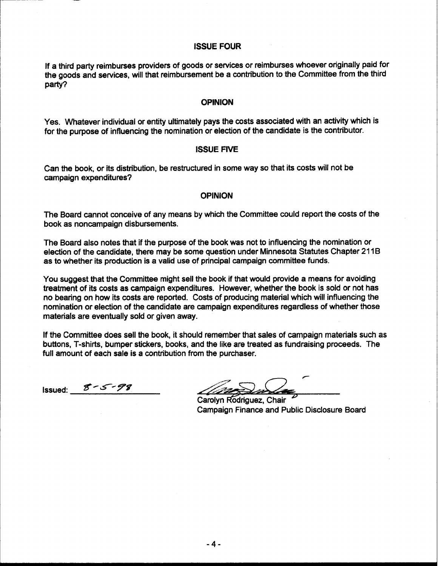#### **ISSUE FOUR**

If a third party reimburses providers of goods or services or reimburses whoever originally paid for the goods and services, will that reimbursement be a contribution to the Committee from the third party?

#### **OPINION**

Yes. Whatever individual or entity ultimately pays the costs associated with an activity which is for the purpose of influencing the nomination or election of the candidate is the contributor.

#### **ISSUE FIVE**

Can the book, or its distribution, be restructured in some way so that its costs will not be campaign expenditures?

#### **OPINION**

The Board cannot conceive of any means by which the Committee could report the costs of the book as noncampaign disbursements.

The Board also notes that if the purpose of the book was not to influencing the nomination or election of the candidate, there may be some question under Minnesota Statutes Chapter 211B as to whether its production is a valid use of principal campaign committee funds.

You suggest that the Committee might sell the book if that would provide a means for avoiding treatment of its costs as campaign expenditures. However, whether the book is sold or not has no bearing on how its costs are reported. Costs of producing material which will influencing the nomination or election of the candidate are campaign expenditures regardless of whether those materials are eventually sold or given away.

If the Committee does sell the book, it should remember that sales of campaign materials such as buttons, T-shirts, bumper stickers, books, and the like are treated as fundraising proceeds. The full amount of each sale is a contribution from the purchaser.

Issued: *gM54yr* -

**F**  Carolyn Rodriguez, Chair

Campaign Finance and Public Disclosure Board